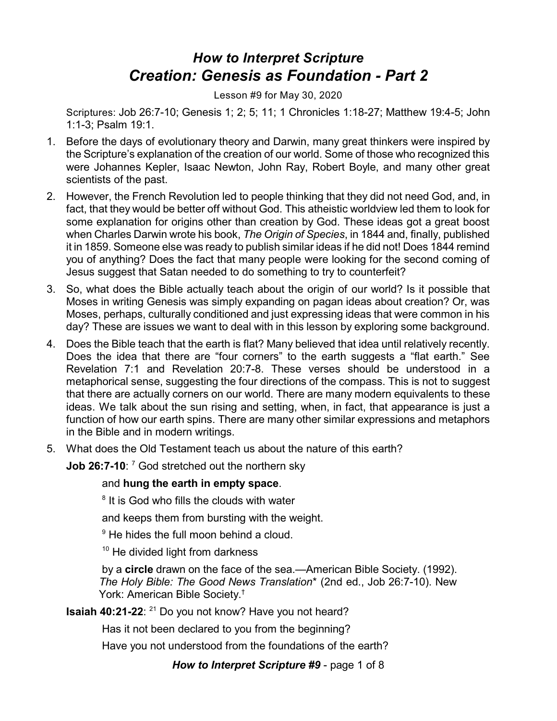## *How to Interpret Scripture Creation: Genesis as Foundation - Part 2*

Lesson #9 for May 30, 2020

Scriptures: Job 26:7-10; Genesis 1; 2; 5; 11; 1 Chronicles 1:18-27; Matthew 19:4-5; John 1:1-3; Psalm 19:1.

- 1. Before the days of evolutionary theory and Darwin, many great thinkers were inspired by the Scripture's explanation of the creation of our world. Some of those who recognized this were Johannes Kepler, Isaac Newton, John Ray, Robert Boyle, and many other great scientists of the past.
- 2. However, the French Revolution led to people thinking that they did not need God, and, in fact, that they would be better off without God. This atheistic worldview led them to look for some explanation for origins other than creation by God. These ideas got a great boost when Charles Darwin wrote his book, *The Origin of Species*, in 1844 and, finally, published it in 1859. Someone else was ready to publish similar ideas if he did not! Does 1844 remind you of anything? Does the fact that many people were looking for the second coming of Jesus suggest that Satan needed to do something to try to counterfeit?
- 3. So, what does the Bible actually teach about the origin of our world? Is it possible that Moses in writing Genesis was simply expanding on pagan ideas about creation? Or, was Moses, perhaps, culturally conditioned and just expressing ideas that were common in his day? These are issues we want to deal with in this lesson by exploring some background.
- 4. Does the Bible teach that the earth is flat? Many believed that idea until relatively recently. Does the idea that there are "four corners" to the earth suggests a "flat earth." See Revelation 7:1 and Revelation 20:7-8. These verses should be understood in a metaphorical sense, suggesting the four directions of the compass. This is not to suggest that there are actually corners on our world. There are many modern equivalents to these ideas. We talk about the sun rising and setting, when, in fact, that appearance is just a function of how our earth spins. There are many other similar expressions and metaphors in the Bible and in modern writings.
- 5. What does the Old Testament teach us about the nature of this earth?
	- **Job 26:7-10**: <sup>7</sup> God stretched out the northern sky

## and **hung the earth in empty space**.

<sup>8</sup> It is God who fills the clouds with water

and keeps them from bursting with the weight.

<sup>9</sup> He hides the full moon behind a cloud.

<sup>10</sup> He divided light from darkness

by a **circle** drawn on the face of the sea.—American Bible Society. (1992). *The Holy Bible: The Good News Translation*\* (2nd ed., Job 26:7-10). New York: American Bible Society. †

**Isaiah 40:21-22**: <sup>21</sup> Do you not know? Have you not heard?

Has it not been declared to you from the beginning?

Have you not understood from the foundations of the earth?

*How to Interpret Scripture #9* - page 1 of 8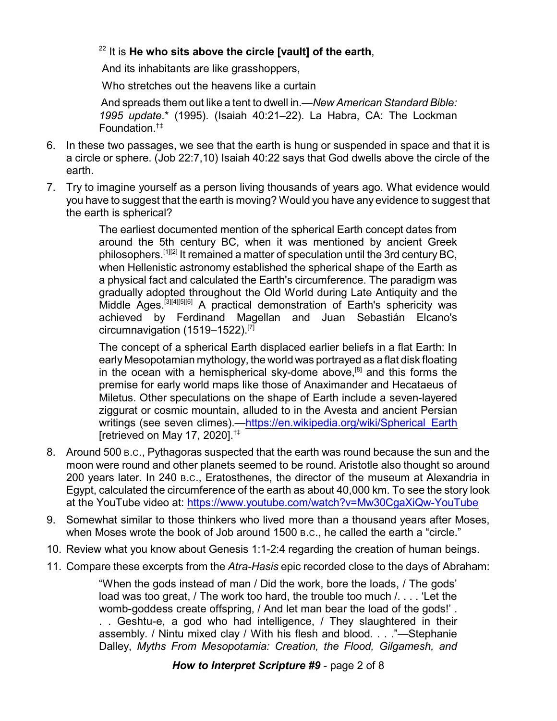## 22 It is **He who sits above the circle [vault] of the earth**,

And its inhabitants are like grasshoppers,

Who stretches out the heavens like a curtain

And spreads them out like a tent to dwell in.—*New American Standard Bible: 1995 update*.\* (1995). (Isaiah 40:21–22). La Habra, CA: The Lockman Foundation. †‡

- 6. In these two passages, we see that the earth is hung or suspended in space and that it is a circle or sphere. (Job 22:7,10) Isaiah 40:22 says that God dwells above the circle of the earth.
- 7. Try to imagine yourself as a person living thousands of years ago. What evidence would you have to suggest that the earth is moving? Would you have any evidence to suggest that the earth is spherical?

The earliest documented mention of the spherical Earth concept dates from around the 5th century BC, when it was mentioned by ancient Greek philosophers.<sup>[1][2]</sup> It remained a matter of speculation until the 3rd century BC, when Hellenistic astronomy established the spherical shape of the Earth as a physical fact and calculated the Earth's circumference. The paradigm was gradually adopted throughout the Old World during Late Antiquity and the Middle Ages.<sup>[3][4][5][6]</sup> A practical demonstration of Earth's sphericity was achieved by Ferdinand Magellan and Juan Sebastián Elcano's circumnavigation (1519–1522).[7]

The concept of a spherical Earth displaced earlier beliefs in a flat Earth: In early Mesopotamian mythology, the world was portrayed as a flat disk floating in the ocean with a hemispherical sky-dome above,<sup>[8]</sup> and this forms the premise for early world maps like those of Anaximander and Hecataeus of Miletus. Other speculations on the shape of Earth include a seven-layered ziggurat or cosmic mountain, alluded to in the Avesta and ancient Persian writings (see seven climes).[—https://en.wikipedia.org/wiki/Spherical\\_Earth](https://en.wikipedia.org/wiki/Spherical_Earth) [retrieved on May 17, 2020].†‡

- 8. Around 500 B.C., Pythagoras suspected that the earth was round because the sun and the moon were round and other planets seemed to be round. Aristotle also thought so around 200 years later. In 240 B.C., Eratosthenes, the director of the museum at Alexandria in Egypt, calculated the circumference of the earth as about 40,000 km. To see the story look at the YouTube video at:<https://www.youtube.com/watch?v=Mw30CgaXiQw-YouTube>
- 9. Somewhat similar to those thinkers who lived more than a thousand years after Moses, when Moses wrote the book of Job around 1500 B.C., he called the earth a "circle."
- 10. Review what you know about Genesis 1:1-2:4 regarding the creation of human beings.
- 11. Compare these excerpts from the *Atra-Hasis* epic recorded close to the days of Abraham:

"When the gods instead of man / Did the work, bore the loads, / The gods' load was too great, / The work too hard, the trouble too much /. . . . 'Let the womb-goddess create offspring, / And let man bear the load of the gods!' . . . Geshtu-e, a god who had intelligence, / They slaughtered in their assembly. / Nintu mixed clay / With his flesh and blood. . . ."—Stephanie Dalley, *Myths From Mesopotamia: Creation, the Flood, Gilgamesh, and*

## *How to Interpret Scripture #9* - page 2 of 8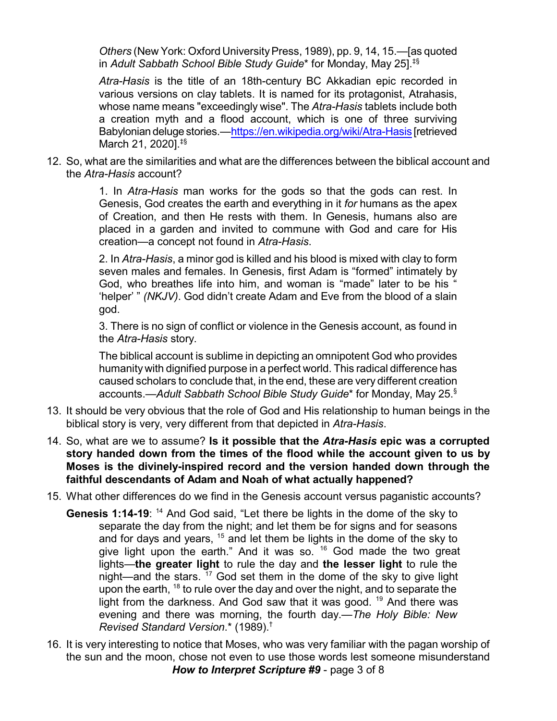Others (New York: Oxford University Press, 1989), pp. 9, 14, 15.— [as quoted in *Adult Sabbath School Bible Study Guide*\* for Monday, May 25].‡§

*Atra-Hasis* is the title of an 18th-century BC Akkadian epic recorded in various versions on clay tablets. It is named for its protagonist, Atrahasis, whose name means "exceedingly wise". The *Atra-Hasis* tablets include both a creation myth and a flood account, which is one of three surviving Babylonian deluge stories.—<https://en.wikipedia.org/wiki/Atra-Hasis> [retrieved March 21, 2020].<sup>‡§</sup>

12. So, what are the similarities and what are the differences between the biblical account and the *Atra-Hasis* account?

> 1. In *Atra-Hasis* man works for the gods so that the gods can rest. In Genesis, God creates the earth and everything in it *for* humans as the apex of Creation, and then He rests with them. In Genesis, humans also are placed in a garden and invited to commune with God and care for His creation—a concept not found in *Atra-Hasis*.

> 2. In *Atra-Hasis*, a minor god is killed and his blood is mixed with clay to form seven males and females. In Genesis, first Adam is "formed" intimately by God, who breathes life into him, and woman is "made" later to be his " 'helper' " *(NKJV)*. God didn't create Adam and Eve from the blood of a slain god.

> 3. There is no sign of conflict or violence in the Genesis account, as found in the *Atra-Hasis* story.

> The biblical account is sublime in depicting an omnipotent God who provides humanity with dignified purpose in a perfect world. This radical difference has caused scholars to conclude that, in the end, these are very different creation accounts.*—Adult Sabbath School Bible Study Guide*\* for Monday, May 25. §

- 13. It should be very obvious that the role of God and His relationship to human beings in the biblical story is very, very different from that depicted in *Atra-Hasis*.
- 14. So, what are we to assume? **Is it possible that the** *Atra-Hasis* **epic was a corrupted story handed down from the times of the flood while the account given to us by Moses is the divinely-inspired record and the version handed down through the faithful descendants of Adam and Noah of what actually happened?**
- 15. What other differences do we find in the Genesis account versus paganistic accounts?
	- **Genesis 1:14-19**: <sup>14</sup> And God said, "Let there be lights in the dome of the sky to separate the day from the night; and let them be for signs and for seasons and for days and years,  $^{15}$  and let them be lights in the dome of the sky to give light upon the earth." And it was so. <sup>16</sup> God made the two great lights—**the greater light** to rule the day and **the lesser light** to rule the night—and the stars. <sup>17</sup> God set them in the dome of the sky to give light upon the earth, <sup>18</sup> to rule over the day and over the night, and to separate the light from the darkness. And God saw that it was good. <sup>19</sup> And there was evening and there was morning, the fourth day.—*The Holy Bible: New Revised Standard Version*.\* (1989).†
- 16. It is very interesting to notice that Moses, who was very familiar with the pagan worship of the sun and the moon, chose not even to use those words lest someone misunderstand *How to Interpret Scripture #9* - page 3 of 8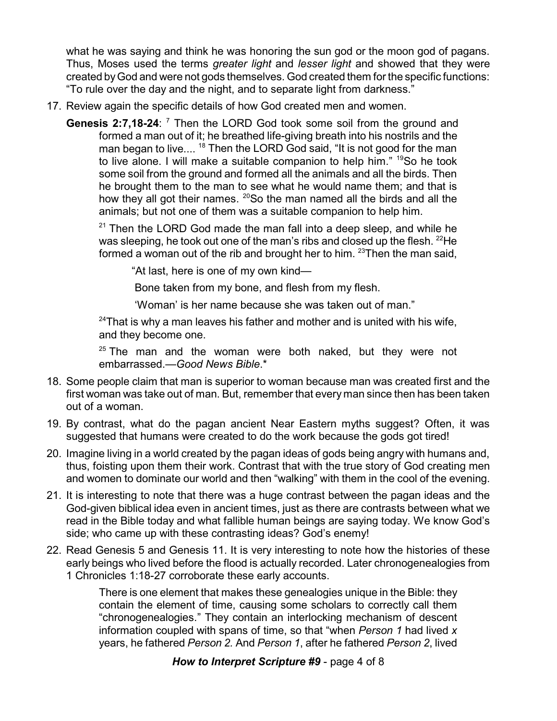what he was saying and think he was honoring the sun god or the moon god of pagans. Thus, Moses used the terms *greater light* and *lesser light* and showed that they were created byGod and were not gods themselves. God created them for the specific functions: "To rule over the day and the night, and to separate light from darkness."

- 17. Review again the specific details of how God created men and women.
	- **Genesis 2:7,18-24**: <sup>7</sup> Then the LORD God took some soil from the ground and formed a man out of it; he breathed life-giving breath into his nostrils and the man began to live.... <sup>18</sup> Then the LORD God said, "It is not good for the man to live alone. I will make a suitable companion to help him." <sup>19</sup>So he took some soil from the ground and formed all the animals and all the birds. Then he brought them to the man to see what he would name them; and that is how they all got their names. <sup>20</sup>So the man named all the birds and all the animals; but not one of them was a suitable companion to help him.

 $21$  Then the LORD God made the man fall into a deep sleep, and while he was sleeping, he took out one of the man's ribs and closed up the flesh.  $^{22}\!{\sf He}$ formed a woman out of the rib and brought her to him. <sup>23</sup>Then the man said,

"At last, here is one of my own kind—

Bone taken from my bone, and flesh from my flesh.

'Woman' is her name because she was taken out of man."

 $24$ That is why a man leaves his father and mother and is united with his wife, and they become one.

 $25$  The man and the woman were both naked, but they were not embarrassed.—*Good News Bible*.\*

- 18. Some people claim that man is superior to woman because man was created first and the first woman was take out of man. But, remember that every man since then has been taken out of a woman.
- 19. By contrast, what do the pagan ancient Near Eastern myths suggest? Often, it was suggested that humans were created to do the work because the gods got tired!
- 20. Imagine living in a world created by the pagan ideas of gods being angry with humans and, thus, foisting upon them their work. Contrast that with the true story of God creating men and women to dominate our world and then "walking" with them in the cool of the evening.
- 21. It is interesting to note that there was a huge contrast between the pagan ideas and the God-given biblical idea even in ancient times, just as there are contrasts between what we read in the Bible today and what fallible human beings are saying today. We know God's side; who came up with these contrasting ideas? God's enemy!
- 22. Read Genesis 5 and Genesis 11. It is very interesting to note how the histories of these early beings who lived before the flood is actually recorded. Later chronogenealogies from 1 Chronicles 1:18-27 corroborate these early accounts.

There is one element that makes these genealogies unique in the Bible: they contain the element of time, causing some scholars to correctly call them "chronogenealogies." They contain an interlocking mechanism of descent information coupled with spans of time, so that "when *Person 1* had lived *x* years, he fathered *Person 2.* And *Person 1*, after he fathered *Person 2*, lived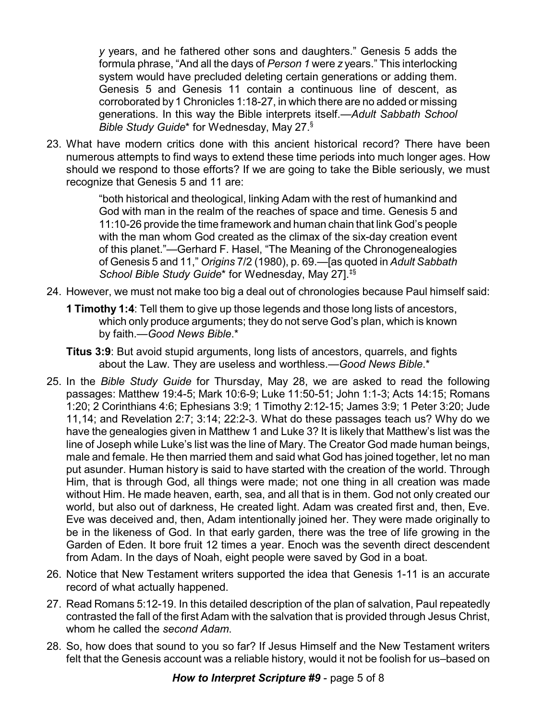*y* years, and he fathered other sons and daughters." Genesis 5 adds the formula phrase, "And all the days of *Person 1* were *z* years." This interlocking system would have precluded deleting certain generations or adding them. Genesis 5 and Genesis 11 contain a continuous line of descent, as corroborated by 1 Chronicles 1:18-27, in which there are no added or missing generations. In this way the Bible interprets itself.—*Adult Sabbath School Bible Study Guide*\* for Wednesday, May 27. §

23. What have modern critics done with this ancient historical record? There have been numerous attempts to find ways to extend these time periods into much longer ages. How should we respond to those efforts? If we are going to take the Bible seriously, we must recognize that Genesis 5 and 11 are:

> "both historical and theological, linking Adam with the rest of humankind and God with man in the realm of the reaches of space and time. Genesis 5 and 11:10-26 provide the time framework and human chain that link God's people with the man whom God created as the climax of the six-day creation event of this planet."—Gerhard F. Hasel, "The Meaning of the Chronogenealogies of Genesis 5 and 11," *Origins* 7/2 (1980), p. 69.—[as quoted in *Adult Sabbath School Bible Study Guide*\* for Wednesday, May 27].‡§

- 24. However, we must not make too big a deal out of chronologies because Paul himself said:
	- **1 Timothy 1:4**: Tell them to give up those legends and those long lists of ancestors, which only produce arguments; they do not serve God's plan, which is known by faith.—*Good News Bible*.\*
	- **Titus 3:9**: But avoid stupid arguments, long lists of ancestors, quarrels, and fights about the Law. They are useless and worthless.—*Good News Bible*.\*
- 25. In the *Bible Study Guide* for Thursday, May 28, we are asked to read the following passages: Matthew 19:4-5; Mark 10:6-9; Luke 11:50-51; John 1:1-3; Acts 14:15; Romans 1:20; 2 Corinthians 4:6; Ephesians 3:9; 1 Timothy 2:12-15; James 3:9; 1 Peter 3:20; Jude 11,14; and Revelation 2:7; 3:14; 22:2-3. What do these passages teach us? Why do we have the genealogies given in Matthew 1 and Luke 3? It is likely that Matthew's list was the line of Joseph while Luke's list was the line of Mary. The Creator God made human beings, male and female. He then married them and said what God has joined together, let no man put asunder. Human history is said to have started with the creation of the world. Through Him, that is through God, all things were made; not one thing in all creation was made without Him. He made heaven, earth, sea, and all that is in them. God not only created our world, but also out of darkness, He created light. Adam was created first and, then, Eve. Eve was deceived and, then, Adam intentionally joined her. They were made originally to be in the likeness of God. In that early garden, there was the tree of life growing in the Garden of Eden. It bore fruit 12 times a year. Enoch was the seventh direct descendent from Adam. In the days of Noah, eight people were saved by God in a boat.
- 26. Notice that New Testament writers supported the idea that Genesis 1-11 is an accurate record of what actually happened.
- 27. Read Romans 5:12-19. In this detailed description of the plan of salvation, Paul repeatedly contrasted the fall of the first Adam with the salvation that is provided through Jesus Christ, whom he called the *second Adam*.
- 28. So, how does that sound to you so far? If Jesus Himself and the New Testament writers felt that the Genesis account was a reliable history, would it not be foolish for us–based on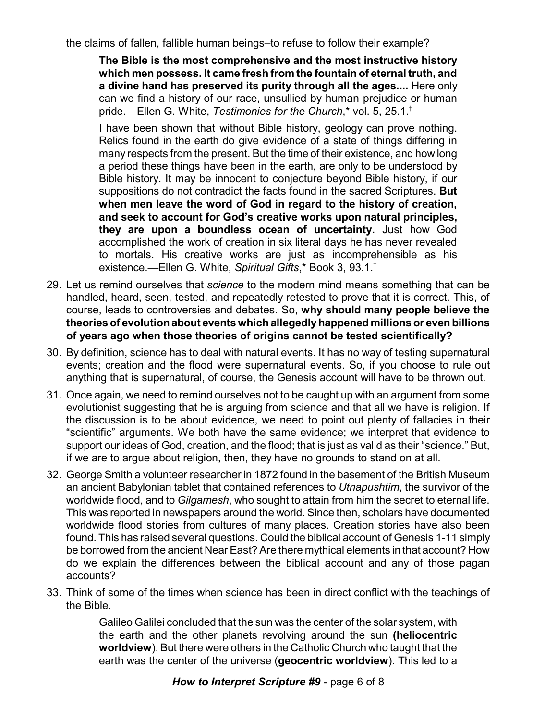the claims of fallen, fallible human beings–to refuse to follow their example?

**The Bible is the most comprehensive and the most instructive history which men possess. It came fresh from the fountain of eternal truth, and a divine hand has preserved its purity through all the ages....** Here only can we find a history of our race, unsullied by human prejudice or human pride.—Ellen G. White, *Testimonies for the Church*,\* vol. 5, 25.1. †

I have been shown that without Bible history, geology can prove nothing. Relics found in the earth do give evidence of a state of things differing in many respects from the present. But the time of their existence, and how long a period these things have been in the earth, are only to be understood by Bible history. It may be innocent to conjecture beyond Bible history, if our suppositions do not contradict the facts found in the sacred Scriptures. **But when men leave the word of God in regard to the history of creation, and seek to account for God's creative works upon natural principles, they are upon a boundless ocean of uncertainty.** Just how God accomplished the work of creation in six literal days he has never revealed to mortals. His creative works are just as incomprehensible as his existence.—Ellen G. White, *Spiritual Gifts*,\* Book 3, 93.1. †

- 29. Let us remind ourselves that *science* to the modern mind means something that can be handled, heard, seen, tested, and repeatedly retested to prove that it is correct. This, of course, leads to controversies and debates. So, **why should many people believe the theories of evolutionabout eventswhichallegedlyhappened millions or evenbillions of years ago when those theories of origins cannot be tested scientifically?**
- 30. By definition, science has to deal with natural events. It has no way of testing supernatural events; creation and the flood were supernatural events. So, if you choose to rule out anything that is supernatural, of course, the Genesis account will have to be thrown out.
- 31. Once again, we need to remind ourselves not to be caught up with an argument from some evolutionist suggesting that he is arguing from science and that all we have is religion. If the discussion is to be about evidence, we need to point out plenty of fallacies in their "scientific" arguments. We both have the same evidence; we interpret that evidence to support our ideas of God, creation, and the flood; that is just as valid as their "science." But, if we are to argue about religion, then, they have no grounds to stand on at all.
- 32. George Smith a volunteer researcher in 1872 found in the basement of the British Museum an ancient Babylonian tablet that contained references to *Utnapushtim*, the survivor of the worldwide flood, and to *Gilgamesh*, who sought to attain from him the secret to eternal life. This was reported in newspapers around the world. Since then, scholars have documented worldwide flood stories from cultures of many places. Creation stories have also been found. This has raised several questions. Could the biblical account of Genesis 1-11 simply be borrowed from the ancient Near East? Are there mythical elements in that account? How do we explain the differences between the biblical account and any of those pagan accounts?
- 33. Think of some of the times when science has been in direct conflict with the teachings of the Bible.

Galileo Galilei concluded that the sun was the center of the solar system, with the earth and the other planets revolving around the sun **(heliocentric worldview**). But there were others in the Catholic Church who taught that the earth was the center of the universe (**geocentric worldview**). This led to a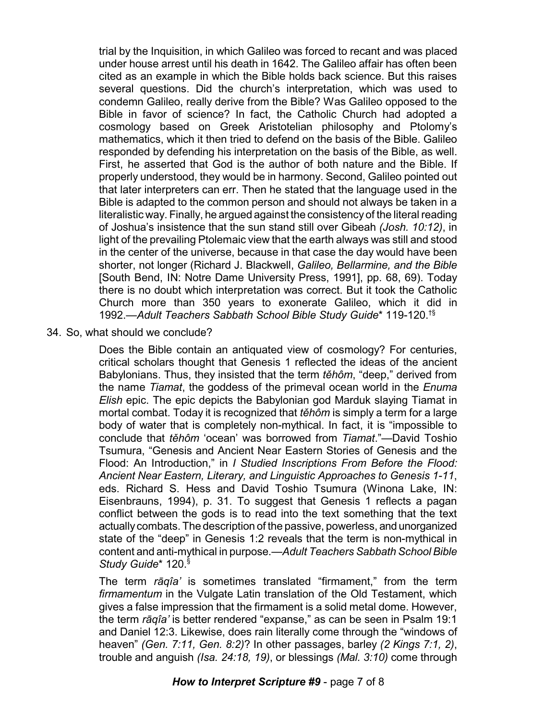trial by the Inquisition, in which Galileo was forced to recant and was placed under house arrest until his death in 1642. The Galileo affair has often been cited as an example in which the Bible holds back science. But this raises several questions. Did the church's interpretation, which was used to condemn Galileo, really derive from the Bible? Was Galileo opposed to the Bible in favor of science? In fact, the Catholic Church had adopted a cosmology based on Greek Aristotelian philosophy and Ptolomy's mathematics, which it then tried to defend on the basis of the Bible. Galileo responded by defending his interpretation on the basis of the Bible, as well. First, he asserted that God is the author of both nature and the Bible. If properly understood, they would be in harmony. Second, Galileo pointed out that later interpreters can err. Then he stated that the language used in the Bible is adapted to the common person and should not always be taken in a literalistic way. Finally, he argued against the consistency of the literal reading of Joshua's insistence that the sun stand still over Gibeah *(Josh. 10:12)*, in light of the prevailing Ptolemaic view that the earth always was still and stood in the center of the universe, because in that case the day would have been shorter, not longer (Richard J. Blackwell, *Galileo, Bellarmine, and the Bible* [South Bend, IN: Notre Dame University Press, 1991], pp. 68, 69). Today there is no doubt which interpretation was correct. But it took the Catholic Church more than 350 years to exonerate Galileo, which it did in 1992.—*Adult Teachers Sabbath School Bible Study Guide*\* 119-120. †§

34. So, what should we conclude?

Does the Bible contain an antiquated view of cosmology? For centuries, critical scholars thought that Genesis 1 reflected the ideas of the ancient Babylonians. Thus, they insisted that the term *těhôm*, "deep," derived from the name *Tiamat*, the goddess of the primeval ocean world in the *Enuma Elish* epic. The epic depicts the Babylonian god Marduk slaying Tiamat in mortal combat. Today it is recognized that *těhôm* is simply a term for a large body of water that is completely non-mythical. In fact, it is "impossible to conclude that *tìhôm* 'ocean' was borrowed from *Tiamat*."—David Toshio Tsumura, "Genesis and Ancient Near Eastern Stories of Genesis and the Flood: An Introduction," in *I Studied Inscriptions From Before the Flood: Ancient Near Eastern, Literary, and Linguistic Approaches to Genesis 1-11*, eds. Richard S. Hess and David Toshio Tsumura (Winona Lake, IN: Eisenbrauns, 1994), p. 31. To suggest that Genesis 1 reflects a pagan conflict between the gods is to read into the text something that the text actually combats. The description of the passive, powerless, and unorganized state of the "deep" in Genesis 1:2 reveals that the term is non-mythical in content and anti-mythical in purpose.—*Adult Teachers Sabbath School Bible Study Guide*\* 120. §

The term *râqîa'* is sometimes translated "firmament," from the term *firmamentum* in the Vulgate Latin translation of the Old Testament, which gives a false impression that the firmament is a solid metal dome. However, the term *râqîa'* is better rendered "expanse," as can be seen in Psalm 19:1 and Daniel 12:3. Likewise, does rain literally come through the "windows of heaven" *(Gen. 7:11, Gen. 8:2)*? In other passages, barley *(2 Kings 7:1, 2)*, trouble and anguish *(Isa. 24:18, 19)*, or blessings *(Mal. 3:10)* come through